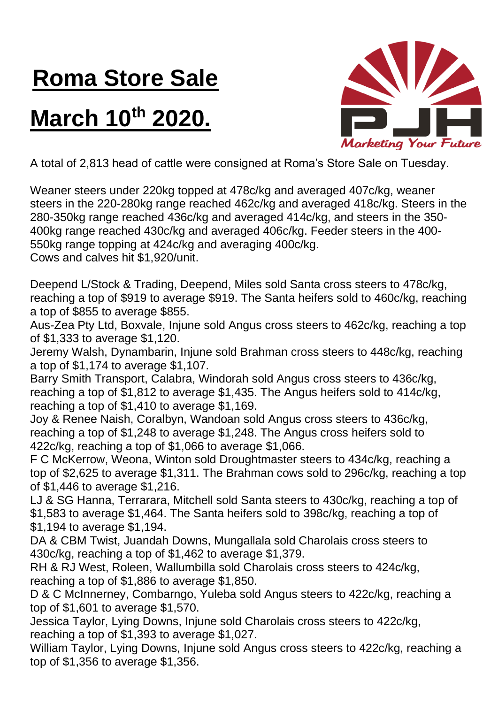## **Roma Store Sale**

## **March 10th 2020.**



A total of 2,813 head of cattle were consigned at Roma's Store Sale on Tuesday.

Weaner steers under 220kg topped at 478c/kg and averaged 407c/kg, weaner steers in the 220-280kg range reached 462c/kg and averaged 418c/kg. Steers in the 280-350kg range reached 436c/kg and averaged 414c/kg, and steers in the 350- 400kg range reached 430c/kg and averaged 406c/kg. Feeder steers in the 400- 550kg range topping at 424c/kg and averaging 400c/kg.

Cows and calves hit \$1,920/unit.

Deepend L/Stock & Trading, Deepend, Miles sold Santa cross steers to 478c/kg, reaching a top of \$919 to average \$919. The Santa heifers sold to 460c/kg, reaching a top of \$855 to average \$855.

Aus-Zea Pty Ltd, Boxvale, Injune sold Angus cross steers to 462c/kg, reaching a top of \$1,333 to average \$1,120.

Jeremy Walsh, Dynambarin, Injune sold Brahman cross steers to 448c/kg, reaching a top of \$1,174 to average \$1,107.

Barry Smith Transport, Calabra, Windorah sold Angus cross steers to 436c/kg, reaching a top of \$1,812 to average \$1,435. The Angus heifers sold to 414c/kg, reaching a top of \$1,410 to average \$1,169.

Joy & Renee Naish, Coralbyn, Wandoan sold Angus cross steers to 436c/kg, reaching a top of \$1,248 to average \$1,248. The Angus cross heifers sold to 422c/kg, reaching a top of \$1,066 to average \$1,066.

F C McKerrow, Weona, Winton sold Droughtmaster steers to 434c/kg, reaching a top of \$2,625 to average \$1,311. The Brahman cows sold to 296c/kg, reaching a top of \$1,446 to average \$1,216.

LJ & SG Hanna, Terrarara, Mitchell sold Santa steers to 430c/kg, reaching a top of \$1,583 to average \$1,464. The Santa heifers sold to 398c/kg, reaching a top of \$1,194 to average \$1,194.

DA & CBM Twist, Juandah Downs, Mungallala sold Charolais cross steers to 430c/kg, reaching a top of \$1,462 to average \$1,379.

RH & RJ West, Roleen, Wallumbilla sold Charolais cross steers to 424c/kg, reaching a top of \$1,886 to average \$1,850.

D & C McInnerney, Combarngo, Yuleba sold Angus steers to 422c/kg, reaching a top of \$1,601 to average \$1,570.

Jessica Taylor, Lying Downs, Injune sold Charolais cross steers to 422c/kg, reaching a top of \$1,393 to average \$1,027.

William Taylor, Lying Downs, Injune sold Angus cross steers to 422c/kg, reaching a top of \$1,356 to average \$1,356.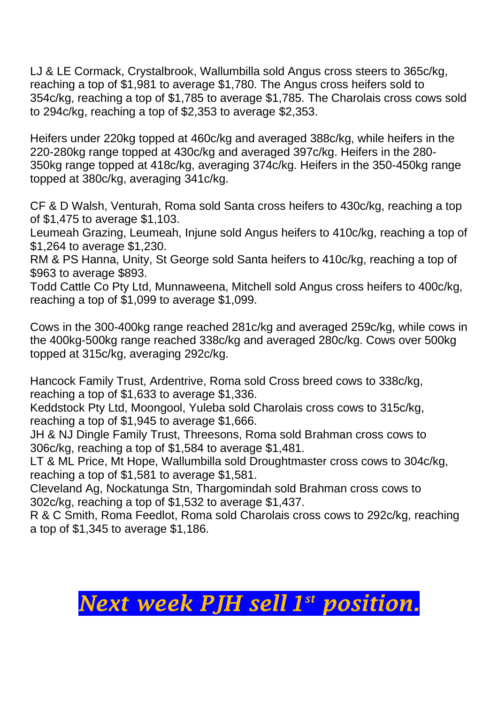LJ & LE Cormack, Crystalbrook, Wallumbilla sold Angus cross steers to 365c/kg, reaching a top of \$1,981 to average \$1,780. The Angus cross heifers sold to 354c/kg, reaching a top of \$1,785 to average \$1,785. The Charolais cross cows sold to 294c/kg, reaching a top of \$2,353 to average \$2,353.

Heifers under 220kg topped at 460c/kg and averaged 388c/kg, while heifers in the 220-280kg range topped at 430c/kg and averaged 397c/kg. Heifers in the 280- 350kg range topped at 418c/kg, averaging 374c/kg. Heifers in the 350-450kg range topped at 380c/kg, averaging 341c/kg.

CF & D Walsh, Venturah, Roma sold Santa cross heifers to 430c/kg, reaching a top of \$1,475 to average \$1,103.

Leumeah Grazing, Leumeah, Injune sold Angus heifers to 410c/kg, reaching a top of \$1,264 to average \$1,230.

RM & PS Hanna, Unity, St George sold Santa heifers to 410c/kg, reaching a top of \$963 to average \$893.

Todd Cattle Co Pty Ltd, Munnaweena, Mitchell sold Angus cross heifers to 400c/kg, reaching a top of \$1,099 to average \$1,099.

Cows in the 300-400kg range reached 281c/kg and averaged 259c/kg, while cows in the 400kg-500kg range reached 338c/kg and averaged 280c/kg. Cows over 500kg topped at 315c/kg, averaging 292c/kg.

Hancock Family Trust, Ardentrive, Roma sold Cross breed cows to 338c/kg, reaching a top of \$1,633 to average \$1,336.

Keddstock Pty Ltd, Moongool, Yuleba sold Charolais cross cows to 315c/kg, reaching a top of \$1,945 to average \$1,666.

JH & NJ Dingle Family Trust, Threesons, Roma sold Brahman cross cows to 306c/kg, reaching a top of \$1,584 to average \$1,481.

LT & ML Price, Mt Hope, Wallumbilla sold Droughtmaster cross cows to 304c/kg, reaching a top of \$1,581 to average \$1,581.

Cleveland Ag, Nockatunga Stn, Thargomindah sold Brahman cross cows to 302c/kg, reaching a top of \$1,532 to average \$1,437.

R & C Smith, Roma Feedlot, Roma sold Charolais cross cows to 292c/kg, reaching a top of \$1,345 to average \$1,186.